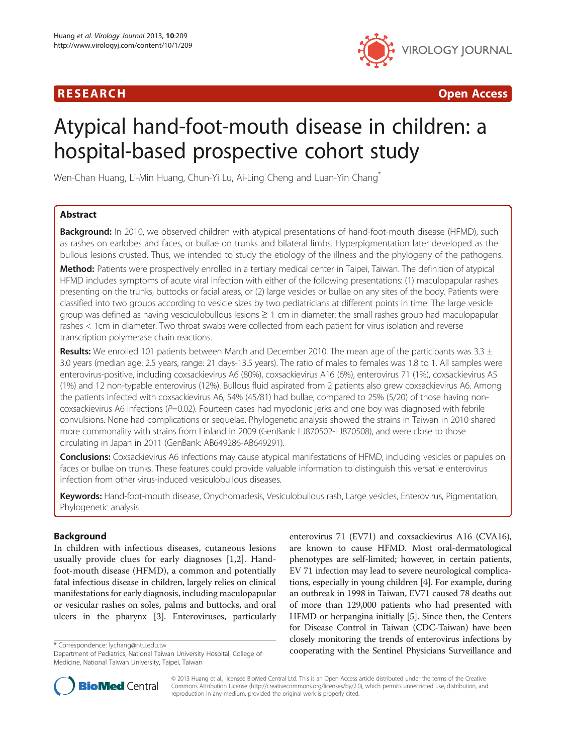# R E S EAR CH Open Access



# Atypical hand-foot-mouth disease in children: a hospital-based prospective cohort study

Wen-Chan Huang, Li-Min Huang, Chun-Yi Lu, Ai-Ling Cheng and Luan-Yin Chang\*

# Abstract

**Background:** In 2010, we observed children with atypical presentations of hand-foot-mouth disease (HFMD), such as rashes on earlobes and faces, or bullae on trunks and bilateral limbs. Hyperpigmentation later developed as the bullous lesions crusted. Thus, we intended to study the etiology of the illness and the phylogeny of the pathogens.

Method: Patients were prospectively enrolled in a tertiary medical center in Taipei, Taiwan. The definition of atypical HFMD includes symptoms of acute viral infection with either of the following presentations: (1) maculopapular rashes presenting on the trunks, buttocks or facial areas, or (2) large vesicles or bullae on any sites of the body. Patients were classified into two groups according to vesicle sizes by two pediatricians at different points in time. The large vesicle group was defined as having vesciculobullous lesions ≥ 1 cm in diameter; the small rashes group had maculopapular rashes < 1cm in diameter. Two throat swabs were collected from each patient for virus isolation and reverse transcription polymerase chain reactions.

**Results:** We enrolled 101 patients between March and December 2010. The mean age of the participants was 3.3  $\pm$ 3.0 years (median age: 2.5 years, range: 21 days-13.5 years). The ratio of males to females was 1.8 to 1. All samples were enterovirus-positive, including coxsackievirus A6 (80%), coxsackievirus A16 (6%), enterovirus 71 (1%), coxsackievirus A5 (1%) and 12 non-typable enterovirus (12%). Bullous fluid aspirated from 2 patients also grew coxsackievirus A6. Among the patients infected with coxsackievirus A6, 54% (45/81) had bullae, compared to 25% (5/20) of those having noncoxsackievirus A6 infections (P=0.02). Fourteen cases had myoclonic jerks and one boy was diagnosed with febrile convulsions. None had complications or sequelae. Phylogenetic analysis showed the strains in Taiwan in 2010 shared more commonality with strains from Finland in 2009 (GenBank: FJ870502-FJ870508), and were close to those circulating in Japan in 2011 (GenBank: AB649286-AB649291).

**Conclusions:** Coxsackievirus A6 infections may cause atypical manifestations of HFMD, including vesicles or papules on faces or bullae on trunks. These features could provide valuable information to distinguish this versatile enterovirus infection from other virus-induced vesiculobullous diseases.

Keywords: Hand-foot-mouth disease, Onychomadesis, Vesiculobullous rash, Large vesicles, Enterovirus, Pigmentation, Phylogenetic analysis

# Background

In children with infectious diseases, cutaneous lesions usually provide clues for early diagnoses [[1,2\]](#page-7-0). Handfoot-mouth disease (HFMD), a common and potentially fatal infectious disease in children, largely relies on clinical manifestations for early diagnosis, including maculopapular or vesicular rashes on soles, palms and buttocks, and oral ulcers in the pharynx [[3\]](#page-7-0). Enteroviruses, particularly

enterovirus 71 (EV71) and coxsackievirus A16 (CVA16), are known to cause HFMD. Most oral-dermatological phenotypes are self-limited; however, in certain patients, EV 71 infection may lead to severe neurological complications, especially in young children [\[4](#page-7-0)]. For example, during an outbreak in 1998 in Taiwan, EV71 caused 78 deaths out of more than 129,000 patients who had presented with HFMD or herpangina initially [\[5](#page-7-0)]. Since then, the Centers for Disease Control in Taiwan (CDC-Taiwan) have been closely monitoring the trends of enterovirus infections by \* Correspondence: [lychang@ntu.edu.tw](mailto:lychang@ntu.edu.tw)<br>Department of Pediatrics National Taiwan University Hospital College of **cooperating with the Sentinel Physicians Surveillance and** 



© 2013 Huang et al.; licensee BioMed Central Ltd. This is an Open Access article distributed under the terms of the Creative Commons Attribution License [\(http://creativecommons.org/licenses/by/2.0\)](http://creativecommons.org/licenses/by/2.0), which permits unrestricted use, distribution, and reproduction in any medium, provided the original work is properly cited.

Department of Pediatrics, National Taiwan University Hospital, College of Medicine, National Taiwan University, Taipei, Taiwan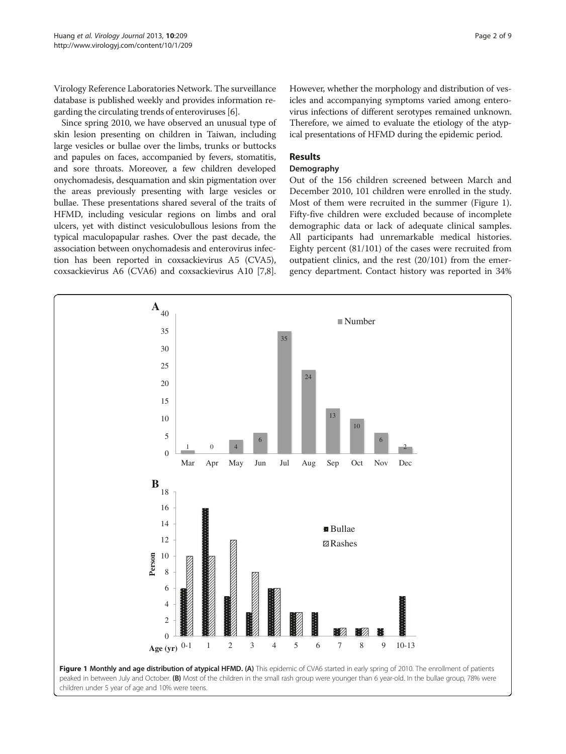Virology Reference Laboratories Network. The surveillance database is published weekly and provides information regarding the circulating trends of enteroviruses [\[6](#page-7-0)].

Since spring 2010, we have observed an unusual type of skin lesion presenting on children in Taiwan, including large vesicles or bullae over the limbs, trunks or buttocks and papules on faces, accompanied by fevers, stomatitis, and sore throats. Moreover, a few children developed onychomadesis, desquamation and skin pigmentation over the areas previously presenting with large vesicles or bullae. These presentations shared several of the traits of HFMD, including vesicular regions on limbs and oral ulcers, yet with distinct vesiculobullous lesions from the typical maculopapular rashes. Over the past decade, the association between onychomadesis and enterovirus infection has been reported in coxsackievirus A5 (CVA5), coxsackievirus A6 (CVA6) and coxsackievirus A10 [[7](#page-7-0),[8](#page-7-0)]. However, whether the morphology and distribution of vesicles and accompanying symptoms varied among enterovirus infections of different serotypes remained unknown. Therefore, we aimed to evaluate the etiology of the atypical presentations of HFMD during the epidemic period.

## Results

#### Demography

Out of the 156 children screened between March and December 2010, 101 children were enrolled in the study. Most of them were recruited in the summer (Figure 1). Fifty-five children were excluded because of incomplete demographic data or lack of adequate clinical samples. All participants had unremarkable medical histories. Eighty percent (81/101) of the cases were recruited from outpatient clinics, and the rest (20/101) from the emergency department. Contact history was reported in 34%

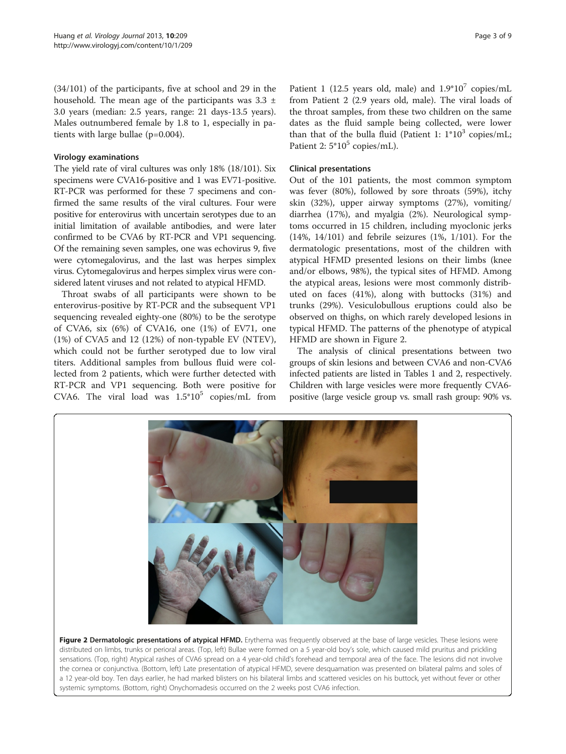(34/101) of the participants, five at school and 29 in the household. The mean age of the participants was  $3.3 \pm$ 3.0 years (median: 2.5 years, range: 21 days-13.5 years). Males outnumbered female by 1.8 to 1, especially in patients with large bullae (p=0.004).

## Virology examinations

The yield rate of viral cultures was only 18% (18/101). Six specimens were CVA16-positive and 1 was EV71-positive. RT-PCR was performed for these 7 specimens and confirmed the same results of the viral cultures. Four were positive for enterovirus with uncertain serotypes due to an initial limitation of available antibodies, and were later confirmed to be CVA6 by RT-PCR and VP1 sequencing. Of the remaining seven samples, one was echovirus 9, five were cytomegalovirus, and the last was herpes simplex virus. Cytomegalovirus and herpes simplex virus were considered latent viruses and not related to atypical HFMD.

Throat swabs of all participants were shown to be enterovirus-positive by RT-PCR and the subsequent VP1 sequencing revealed eighty-one (80%) to be the serotype of CVA6, six (6%) of CVA16, one (1%) of EV71, one (1%) of CVA5 and 12 (12%) of non-typable EV (NTEV), which could not be further serotyped due to low viral titers. Additional samples from bullous fluid were collected from 2 patients, which were further detected with RT-PCR and VP1 sequencing. Both were positive for CVA6. The viral load was  $1.5*10^5$  copies/mL from from Patient 2 (2.9 years old, male). The viral loads of the throat samples, from these two children on the same dates as the fluid sample being collected, were lower than that of the bulla fluid (Patient 1:  $1*10^3$  copies/mL; Patient 2:  $5*10^5$  copies/mL).

# Clinical presentations

Out of the 101 patients, the most common symptom was fever (80%), followed by sore throats (59%), itchy skin (32%), upper airway symptoms (27%), vomiting/ diarrhea (17%), and myalgia (2%). Neurological symptoms occurred in 15 children, including myoclonic jerks (14%, 14/101) and febrile seizures (1%, 1/101). For the dermatologic presentations, most of the children with atypical HFMD presented lesions on their limbs (knee and/or elbows, 98%), the typical sites of HFMD. Among the atypical areas, lesions were most commonly distributed on faces (41%), along with buttocks (31%) and trunks (29%). Vesiculobullous eruptions could also be observed on thighs, on which rarely developed lesions in typical HFMD. The patterns of the phenotype of atypical HFMD are shown in Figure 2.

The analysis of clinical presentations between two groups of skin lesions and between CVA6 and non-CVA6 infected patients are listed in Tables [1](#page-3-0) and [2,](#page-4-0) respectively. Children with large vesicles were more frequently CVA6 positive (large vesicle group vs. small rash group: 90% vs.



Figure 2 Dermatologic presentations of atypical HFMD. Erythema was frequently observed at the base of large vesicles. These lesions were distributed on limbs, trunks or perioral areas. (Top, left) Bullae were formed on a 5 year-old boy's sole, which caused mild pruritus and prickling sensations. (Top, right) Atypical rashes of CVA6 spread on a 4 year-old child's forehead and temporal area of the face. The lesions did not involve the cornea or conjunctiva. (Bottom, left) Late presentation of atypical HFMD, severe desquamation was presented on bilateral palms and soles of a 12 year-old boy. Ten days earlier, he had marked blisters on his bilateral limbs and scattered vesicles on his buttock, yet without fever or other systemic symptoms. (Bottom, right) Onychomadesis occurred on the 2 weeks post CVA6 infection.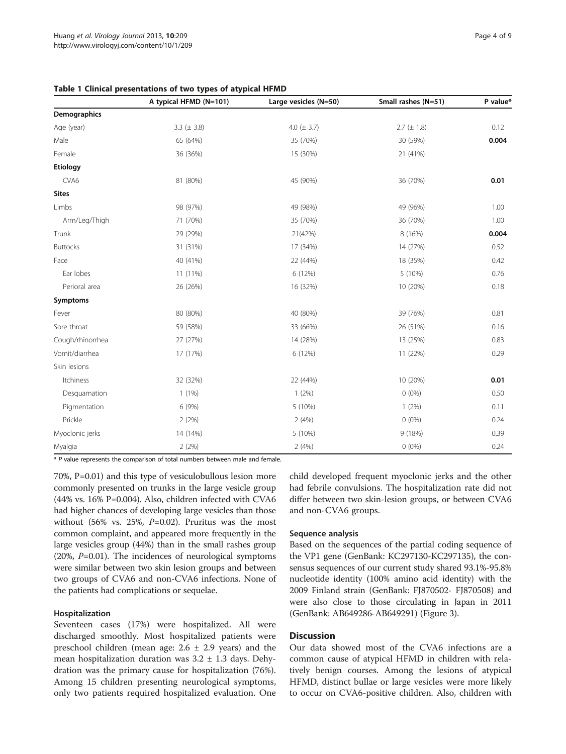<span id="page-3-0"></span>

|  |  | Table 1 Clinical presentations of two types of atypical HFMD |  |  |  |  |  |  |
|--|--|--------------------------------------------------------------|--|--|--|--|--|--|
|--|--|--------------------------------------------------------------|--|--|--|--|--|--|

|                  | A typical HFMD (N=101) | Large vesicles (N=50) | Small rashes (N=51) | P value* |
|------------------|------------------------|-----------------------|---------------------|----------|
| Demographics     |                        |                       |                     |          |
| Age (year)       | 3.3 ( $\pm$ 3.8)       | 4.0 ( $\pm$ 3.7)      | $2.7 (\pm 1.8)$     | 0.12     |
| Male             | 65 (64%)               | 35 (70%)              | 30 (59%)            | 0.004    |
| Female           | 36 (36%)               | 15 (30%)              | 21 (41%)            |          |
| Etiology         |                        |                       |                     |          |
| CVA6             | 81 (80%)               | 45 (90%)              | 36 (70%)            | 0.01     |
| <b>Sites</b>     |                        |                       |                     |          |
| Limbs            | 98 (97%)               | 49 (98%)              | 49 (96%)            | 1.00     |
| Arm/Leg/Thigh    | 71 (70%)               | 35 (70%)              | 36 (70%)            | 1.00     |
| Trunk            | 29 (29%)               | 21(42%)               | 8 (16%)             | 0.004    |
| <b>Buttocks</b>  | 31 (31%)               | 17 (34%)              | 14 (27%)            | 0.52     |
| Face             | 40 (41%)               | 22 (44%)              | 18 (35%)            | 0.42     |
| Ear lobes        | 11 (11%)               | 6 (12%)               | 5 (10%)             | 0.76     |
| Perioral area    | 26 (26%)               | 16 (32%)              | 10 (20%)            | 0.18     |
| Symptoms         |                        |                       |                     |          |
| Fever            | 80 (80%)               | 40 (80%)              | 39 (76%)            | 0.81     |
| Sore throat      | 59 (58%)               | 33 (66%)              | 26 (51%)            | 0.16     |
| Cough/rhinorrhea | 27 (27%)               | 14 (28%)              | 13 (25%)            | 0.83     |
| Vomit/diarrhea   | 17 (17%)               | 6 (12%)               | 11 (22%)            | 0.29     |
| Skin lesions     |                        |                       |                     |          |
| Itchiness        | 32 (32%)               | 22 (44%)              | 10 (20%)            | 0.01     |
| Desquamation     | 1(1%)                  | 1(2%)                 | $0(0\%)$            | 0.50     |
| Pigmentation     | 6 (9%)                 | 5 (10%)               | $1(2\%)$            | 0.11     |
| Prickle          | 2(2%)                  | 2(4%)                 | $0(0\%)$            | 0.24     |
| Myoclonic jerks  | 14 (14%)               | 5 (10%)               | 9 (18%)             | 0.39     |
| Myalgia          | 2(2%)                  | 2(4%)                 | $0(0\%)$            | 0.24     |

\* P value represents the comparison of total numbers between male and female.

70%, P=0.01) and this type of vesiculobullous lesion more commonly presented on trunks in the large vesicle group (44% vs. 16% P=0.004). Also, children infected with CVA6 had higher chances of developing large vesicles than those without (56% vs. 25%,  $P=0.02$ ). Pruritus was the most common complaint, and appeared more frequently in the large vesicles group (44%) than in the small rashes group  $(20\%, P=0.01)$ . The incidences of neurological symptoms were similar between two skin lesion groups and between two groups of CVA6 and non-CVA6 infections. None of the patients had complications or sequelae.

## Hospitalization

Seventeen cases (17%) were hospitalized. All were discharged smoothly. Most hospitalized patients were preschool children (mean age:  $2.6 \pm 2.9$  years) and the mean hospitalization duration was 3.2 ± 1.3 days. Dehydration was the primary cause for hospitalization (76%). Among 15 children presenting neurological symptoms, only two patients required hospitalized evaluation. One child developed frequent myoclonic jerks and the other had febrile convulsions. The hospitalization rate did not differ between two skin-lesion groups, or between CVA6 and non-CVA6 groups.

#### Sequence analysis

Based on the sequences of the partial coding sequence of the VP1 gene (GenBank: KC297130-KC297135), the consensus sequences of our current study shared 93.1%-95.8% nucleotide identity (100% amino acid identity) with the 2009 Finland strain (GenBank: FJ870502- FJ870508) and were also close to those circulating in Japan in 2011 (GenBank: AB649286-AB649291) (Figure [3](#page-5-0)).

#### **Discussion**

Our data showed most of the CVA6 infections are a common cause of atypical HFMD in children with relatively benign courses. Among the lesions of atypical HFMD, distinct bullae or large vesicles were more likely to occur on CVA6-positive children. Also, children with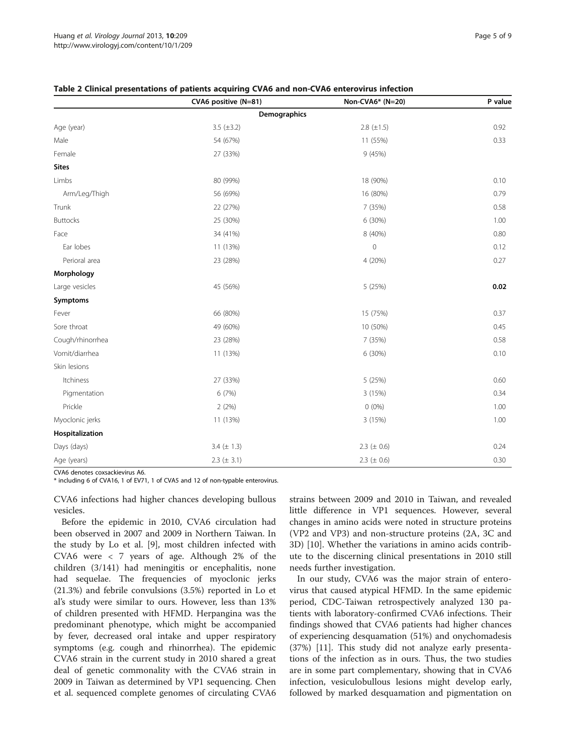|                  | CVA6 positive (N=81) | Non-CVA6* (N=20) | P value |
|------------------|----------------------|------------------|---------|
|                  | Demographics         |                  |         |
| Age (year)       | 3.5 $(\pm 3.2)$      | $2.8 (\pm 1.5)$  | 0.92    |
| Male             | 54 (67%)             | 11 (55%)         | 0.33    |
| Female           | 27 (33%)             | 9(45%)           |         |
| <b>Sites</b>     |                      |                  |         |
| Limbs            | 80 (99%)             | 18 (90%)         | 0.10    |
| Arm/Leg/Thigh    | 56 (69%)             | 16 (80%)         | 0.79    |
| Trunk            | 22 (27%)             | 7 (35%)          | 0.58    |
| <b>Buttocks</b>  | 25 (30%)             | 6 (30%)          | 1.00    |
| Face             | 34 (41%)             | 8 (40%)          | 0.80    |
| Ear lobes        | 11 (13%)             | $\mathbf 0$      | 0.12    |
| Perioral area    | 23 (28%)             | 4 (20%)          | 0.27    |
| Morphology       |                      |                  |         |
| Large vesicles   | 45 (56%)             | 5 (25%)          | 0.02    |
| Symptoms         |                      |                  |         |
| Fever            | 66 (80%)             | 15 (75%)         | 0.37    |
| Sore throat      | 49 (60%)             | 10 (50%)         | 0.45    |
| Cough/rhinorrhea | 23 (28%)             | 7 (35%)          | 0.58    |
| Vomit/diarrhea   | 11 (13%)             | 6 (30%)          | 0.10    |
| Skin lesions     |                      |                  |         |
| Itchiness        | 27 (33%)             | 5(25%)           | 0.60    |
| Pigmentation     | 6 (7%)               | 3 (15%)          | 0.34    |
| Prickle          | 2(2%)                | $0(0\%)$         | 1.00    |
| Myoclonic jerks  | 11 (13%)             | 3 (15%)          | 1.00    |
| Hospitalization  |                      |                  |         |
| Days (days)      | 3.4 $(\pm 1.3)$      | 2.3 ( $\pm$ 0.6) | 0.24    |
| Age (years)      | $2.3 (\pm 3.1)$      | 2.3 ( $\pm$ 0.6) | 0.30    |

#### <span id="page-4-0"></span>Table 2 Clinical presentations of patients acquiring CVA6 and non-CVA6 enterovirus infection

CVA6 denotes coxsackievirus A6.

\* including 6 of CVA16, 1 of EV71, 1 of CVA5 and 12 of non-typable enterovirus.

CVA6 infections had higher chances developing bullous vesicles.

Before the epidemic in 2010, CVA6 circulation had been observed in 2007 and 2009 in Northern Taiwan. In the study by Lo et al. [\[9](#page-7-0)], most children infected with CVA6 were < 7 years of age. Although 2% of the children (3/141) had meningitis or encephalitis, none had sequelae. The frequencies of myoclonic jerks (21.3%) and febrile convulsions (3.5%) reported in Lo et al's study were similar to ours. However, less than 13% of children presented with HFMD. Herpangina was the predominant phenotype, which might be accompanied by fever, decreased oral intake and upper respiratory symptoms (e.g. cough and rhinorrhea). The epidemic CVA6 strain in the current study in 2010 shared a great deal of genetic commonality with the CVA6 strain in 2009 in Taiwan as determined by VP1 sequencing. Chen et al. sequenced complete genomes of circulating CVA6 strains between 2009 and 2010 in Taiwan, and revealed little difference in VP1 sequences. However, several changes in amino acids were noted in structure proteins (VP2 and VP3) and non-structure proteins (2A, 3C and 3D) [\[10\]](#page-7-0). Whether the variations in amino acids contribute to the discerning clinical presentations in 2010 still needs further investigation.

In our study, CVA6 was the major strain of enterovirus that caused atypical HFMD. In the same epidemic period, CDC-Taiwan retrospectively analyzed 130 patients with laboratory-confirmed CVA6 infections. Their findings showed that CVA6 patients had higher chances of experiencing desquamation (51%) and onychomadesis (37%) [[11\]](#page-8-0). This study did not analyze early presentations of the infection as in ours. Thus, the two studies are in some part complementary, showing that in CVA6 infection, vesiculobullous lesions might develop early, followed by marked desquamation and pigmentation on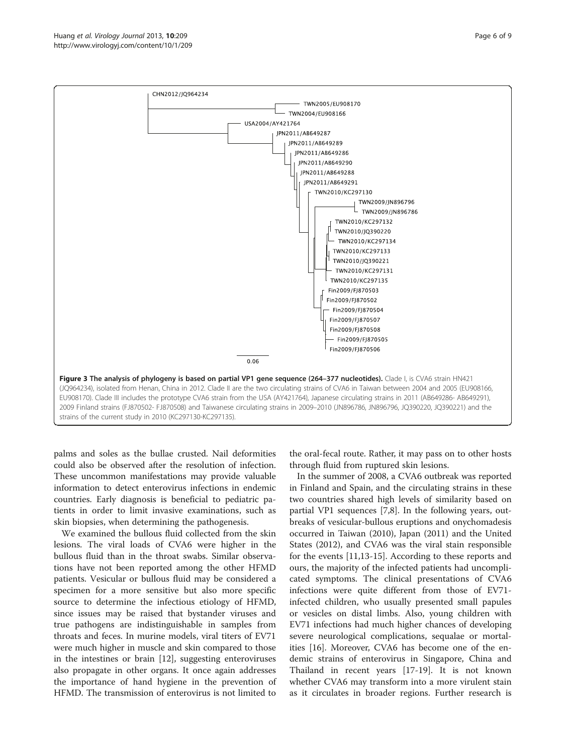<span id="page-5-0"></span>

palms and soles as the bullae crusted. Nail deformities could also be observed after the resolution of infection. These uncommon manifestations may provide valuable information to detect enterovirus infections in endemic countries. Early diagnosis is beneficial to pediatric patients in order to limit invasive examinations, such as skin biopsies, when determining the pathogenesis.

We examined the bullous fluid collected from the skin lesions. The viral loads of CVA6 were higher in the bullous fluid than in the throat swabs. Similar observations have not been reported among the other HFMD patients. Vesicular or bullous fluid may be considered a specimen for a more sensitive but also more specific source to determine the infectious etiology of HFMD, since issues may be raised that bystander viruses and true pathogens are indistinguishable in samples from throats and feces. In murine models, viral titers of EV71 were much higher in muscle and skin compared to those in the intestines or brain [\[12](#page-8-0)], suggesting enteroviruses also propagate in other organs. It once again addresses the importance of hand hygiene in the prevention of HFMD. The transmission of enterovirus is not limited to the oral-fecal route. Rather, it may pass on to other hosts through fluid from ruptured skin lesions.

In the summer of 2008, a CVA6 outbreak was reported in Finland and Spain, and the circulating strains in these two countries shared high levels of similarity based on partial VP1 sequences [\[7,8](#page-7-0)]. In the following years, outbreaks of vesicular-bullous eruptions and onychomadesis occurred in Taiwan (2010), Japan (2011) and the United States (2012), and CVA6 was the viral stain responsible for the events [\[11,13](#page-8-0)-[15](#page-8-0)]. According to these reports and ours, the majority of the infected patients had uncomplicated symptoms. The clinical presentations of CVA6 infections were quite different from those of EV71 infected children, who usually presented small papules or vesicles on distal limbs. Also, young children with EV71 infections had much higher chances of developing severe neurological complications, sequalae or mortalities [[16](#page-8-0)]. Moreover, CVA6 has become one of the endemic strains of enterovirus in Singapore, China and Thailand in recent years [\[17-19](#page-8-0)]. It is not known whether CVA6 may transform into a more virulent stain as it circulates in broader regions. Further research is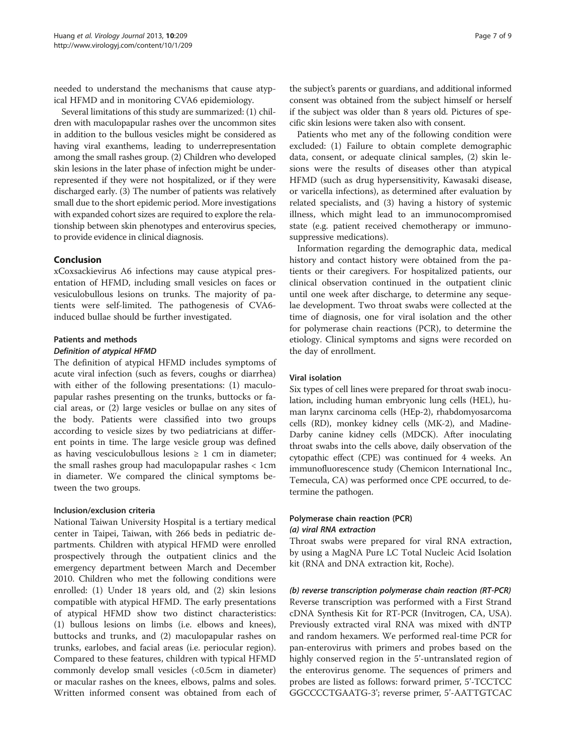needed to understand the mechanisms that cause atypical HFMD and in monitoring CVA6 epidemiology.

Several limitations of this study are summarized: (1) children with maculopapular rashes over the uncommon sites in addition to the bullous vesicles might be considered as having viral exanthems, leading to underrepresentation among the small rashes group. (2) Children who developed skin lesions in the later phase of infection might be underrepresented if they were not hospitalized, or if they were discharged early. (3) The number of patients was relatively small due to the short epidemic period. More investigations with expanded cohort sizes are required to explore the relationship between skin phenotypes and enterovirus species, to provide evidence in clinical diagnosis.

# Conclusion

xCoxsackievirus A6 infections may cause atypical presentation of HFMD, including small vesicles on faces or vesiculobullous lesions on trunks. The majority of patients were self-limited. The pathogenesis of CVA6 induced bullae should be further investigated.

#### Patients and methods

#### Definition of atypical HFMD

The definition of atypical HFMD includes symptoms of acute viral infection (such as fevers, coughs or diarrhea) with either of the following presentations: (1) maculopapular rashes presenting on the trunks, buttocks or facial areas, or (2) large vesicles or bullae on any sites of the body. Patients were classified into two groups according to vesicle sizes by two pediatricians at different points in time. The large vesicle group was defined as having vesciculobullous lesions  $\geq 1$  cm in diameter; the small rashes group had maculopapular rashes < 1cm in diameter. We compared the clinical symptoms between the two groups.

#### Inclusion/exclusion criteria

National Taiwan University Hospital is a tertiary medical center in Taipei, Taiwan, with 266 beds in pediatric departments. Children with atypical HFMD were enrolled prospectively through the outpatient clinics and the emergency department between March and December 2010. Children who met the following conditions were enrolled: (1) Under 18 years old, and (2) skin lesions compatible with atypical HFMD. The early presentations of atypical HFMD show two distinct characteristics: (1) bullous lesions on limbs (i.e. elbows and knees), buttocks and trunks, and (2) maculopapular rashes on trunks, earlobes, and facial areas (i.e. periocular region). Compared to these features, children with typical HFMD commonly develop small vesicles (<0.5cm in diameter) or macular rashes on the knees, elbows, palms and soles. Written informed consent was obtained from each of

the subject's parents or guardians, and additional informed consent was obtained from the subject himself or herself if the subject was older than 8 years old. Pictures of specific skin lesions were taken also with consent.

Patients who met any of the following condition were excluded: (1) Failure to obtain complete demographic data, consent, or adequate clinical samples, (2) skin lesions were the results of diseases other than atypical HFMD (such as drug hypersensitivity, Kawasaki disease, or varicella infections), as determined after evaluation by related specialists, and (3) having a history of systemic illness, which might lead to an immunocompromised state (e.g. patient received chemotherapy or immunosuppressive medications).

Information regarding the demographic data, medical history and contact history were obtained from the patients or their caregivers. For hospitalized patients, our clinical observation continued in the outpatient clinic until one week after discharge, to determine any sequelae development. Two throat swabs were collected at the time of diagnosis, one for viral isolation and the other for polymerase chain reactions (PCR), to determine the etiology. Clinical symptoms and signs were recorded on the day of enrollment.

#### Viral isolation

Six types of cell lines were prepared for throat swab inoculation, including human embryonic lung cells (HEL), human larynx carcinoma cells (HEp-2), rhabdomyosarcoma cells (RD), monkey kidney cells (MK-2), and Madine-Darby canine kidney cells (MDCK). After inoculating throat swabs into the cells above, daily observation of the cytopathic effect (CPE) was continued for 4 weeks. An immunofluorescence study (Chemicon International Inc., Temecula, CA) was performed once CPE occurred, to determine the pathogen.

# Polymerase chain reaction (PCR) (a) viral RNA extraction

Throat swabs were prepared for viral RNA extraction, by using a MagNA Pure LC Total Nucleic Acid Isolation kit (RNA and DNA extraction kit, Roche).

(b) reverse transcription polymerase chain reaction (RT-PCR) Reverse transcription was performed with a First Strand cDNA Synthesis Kit for RT-PCR (Invitrogen, CA, USA). Previously extracted viral RNA was mixed with dNTP and random hexamers. We performed real-time PCR for pan-enterovirus with primers and probes based on the highly conserved region in the 5'-untranslated region of the enterovirus genome. The sequences of primers and probes are listed as follows: forward primer, 5'-TCCTCC GGCCCCTGAATG-3'; reverse primer, 5'-AATTGTCAC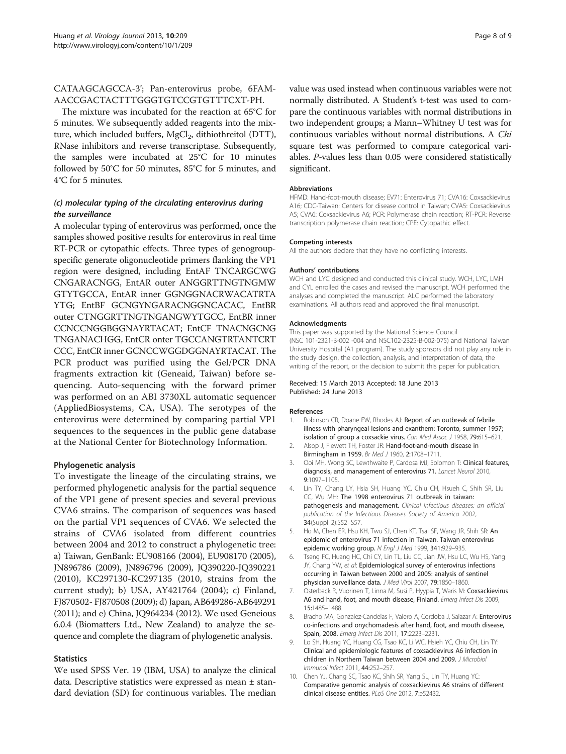# <span id="page-7-0"></span>CATAAGCAGCCA-3'; Pan-enterovirus probe, 6FAM-AACCGACTACTTTGGGTGTCCGTGTTTCXT-PH.

The mixture was incubated for the reaction at 65°C for 5 minutes. We subsequently added reagents into the mixture, which included buffers,  $MgCl<sub>2</sub>$ , dithiothreitol (DTT), RNase inhibitors and reverse transcriptase. Subsequently, the samples were incubated at 25°C for 10 minutes followed by 50°C for 50 minutes, 85°C for 5 minutes, and 4°C for 5 minutes.

# (c) molecular typing of the circulating enterovirus during the surveillance

A molecular typing of enterovirus was performed, once the samples showed positive results for enterovirus in real time RT-PCR or cytopathic effects. Three types of genogroupspecific generate oligonucleotide primers flanking the VP1 region were designed, including EntAF TNCARGCWG CNGARACNGG, EntAR outer ANGGRTTNGTNGMW GTYTGCCA, EntAR inner GGNGGNACRWACATRTA YTG; EntBF GCNGYNGARACNGGNCACAC, EntBR outer CTNGGRTTNGTNGANGWYTGCC, EntBR inner CCNCCNGGBGGNAYRTACAT; EntCF TNACNGCNG TNGANACHGG, EntCR onter TGCCANGTRTANTCRT CCC, EntCR inner GCNCCWGGDGGNAYRTACAT. The PCR product was purified using the Gel/PCR DNA fragments extraction kit (Geneaid, Taiwan) before sequencing. Auto-sequencing with the forward primer was performed on an ABI 3730XL automatic sequencer (AppliedBiosystems, CA, USA). The serotypes of the enterovirus were determined by comparing partial VP1 sequences to the sequences in the public gene database at the National Center for Biotechnology Information.

# Phylogenetic analysis

To investigate the lineage of the circulating strains, we performed phylogenetic analysis for the partial sequence of the VP1 gene of present species and several previous CVA6 strains. The comparison of sequences was based on the partial VP1 sequences of CVA6. We selected the strains of CVA6 isolated from different countries between 2004 and 2012 to construct a phylogenetic tree: a) Taiwan, GenBank: EU908166 (2004), EU908170 (2005), JN896786 (2009), JN896796 (2009), JQ390220-JQ390221 (2010), KC297130-KC297135 (2010, strains from the current study); b) USA, AY421764 (2004); c) Finland, FJ870502- FJ870508 (2009); d) Japan, AB649286-AB649291 (2011); and e) China, JQ964234 (2012). We used Geneious 6.0.4 (Biomatters Ltd., New Zealand) to analyze the sequence and complete the diagram of phylogenetic analysis.

# **Statistics**

We used SPSS Ver. 19 (IBM, USA) to analyze the clinical data. Descriptive statistics were expressed as mean ± standard deviation (SD) for continuous variables. The median value was used instead when continuous variables were not normally distributed. A Student's t-test was used to compare the continuous variables with normal distributions in two independent groups; a Mann–Whitney U test was for continuous variables without normal distributions. A Chi square test was performed to compare categorical variables. P-values less than 0.05 were considered statistically significant.

#### Abbreviations

HFMD: Hand-foot-mouth disease; EV71: Enterovirus 71; CVA16: Coxsackievirus A16; CDC-Taiwan: Centers for disease control in Taiwan; CVA5: Coxsackievirus A5; CVA6: Coxsackievirus A6; PCR: Polymerase chain reaction; RT-PCR: Reverse transcription polymerase chain reaction; CPE: Cytopathic effect.

#### Competing interests

All the authors declare that they have no conflicting interests.

#### Authors' contributions

WCH and LYC designed and conducted this clinical study. WCH, LYC, LMH and CYL enrolled the cases and revised the manuscript. WCH performed the analyses and completed the manuscript. ALC performed the laboratory examinations. All authors read and approved the final manuscript.

#### Acknowledgments

This paper was supported by the National Science Council (NSC 101-2321-B-002 -004 and NSC102-2325-B-002-075) and National Taiwan University Hospital (A1 program). The study sponsors did not play any role in the study design, the collection, analysis, and interpretation of data, the writing of the report, or the decision to submit this paper for publication.

#### Received: 15 March 2013 Accepted: 18 June 2013 Published: 24 June 2013

#### References

- 1. Robinson CR, Doane FW, Rhodes AJ: Report of an outbreak of febrile illness with pharyngeal lesions and exanthem: Toronto, summer 1957; isolation of group a coxsackie virus. Can Med Assoc J 1958, 79:615-621.
- 2. Alsop J, Flewett TH, Foster JR: Hand-foot-and-mouth disease in Birmingham in 1959. Br Med J 1960, 2:1708–1711.
- 3. Ooi MH, Wong SC, Lewthwaite P, Cardosa MJ, Solomon T: Clinical features, diagnosis, and management of enterovirus 71. Lancet Neurol 2010, 9:1097–1105.
- 4. Lin TY, Chang LY, Hsia SH, Huang YC, Chiu CH, Hsueh C, Shih SR, Liu CC, Wu MH: The 1998 enterovirus 71 outbreak in taiwan: pathogenesis and management. Clinical infectious diseases: an official publication of the Infectious Diseases Society of America 2002, 34(Suppl 2):S52–S57.
- 5. Ho M, Chen ER, Hsu KH, Twu SJ, Chen KT, Tsai SF, Wang JR, Shih SR: An epidemic of enterovirus 71 infection in Taiwan. Taiwan enterovirus epidemic working group. N Engl J Med 1999, 341:929–935.
- Tseng FC, Huang HC, Chi CY, Lin TL, Liu CC, Jian JW, Hsu LC, Wu HS, Yang JY, Chang YW, et al: Epidemiological survey of enterovirus infections occurring in Taiwan between 2000 and 2005: analysis of sentinel physician surveillance data. J Med Virol 2007, 79:1850–1860.
- 7. Osterback R, Vuorinen T, Linna M, Susi P, Hyypia T, Waris M: Coxsackievirus A6 and hand, foot, and mouth disease, Finland. Emerg Infect Dis 2009, 15:1485–1488.
- 8. Bracho MA, Gonzalez-Candelas F, Valero A, Cordoba J, Salazar A: Enterovirus co-infections and onychomadesis after hand, foot, and mouth disease, Spain, 2008. Emerg Infect Dis 2011, 17:2223–2231.
- 9. Lo SH, Huang YC, Huang CG, Tsao KC, Li WC, Hsieh YC, Chiu CH, Lin TY: Clinical and epidemiologic features of coxsackievirus A6 infection in children in Northern Taiwan between 2004 and 2009. J Microbiol Immunol Infect 2011, 44:252–257.
- 10. Chen YJ, Chang SC, Tsao KC, Shih SR, Yang SL, Lin TY, Huang YC: Comparative genomic analysis of coxsackievirus A6 strains of different clinical disease entities. PLoS One 2012, 7:e52432.